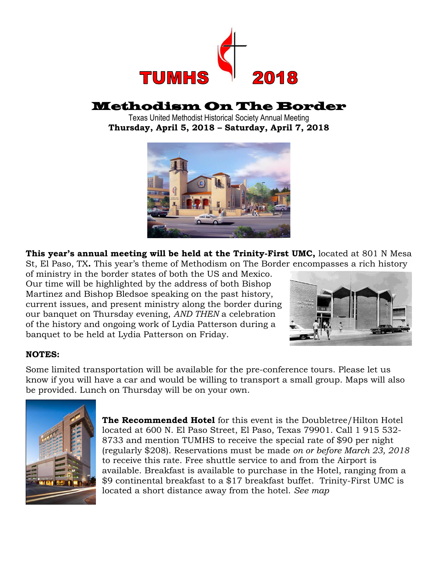

# Methodism On The Border

Texas United Methodist Historical Society Annual Meeting **Thursday, April 5, 2018 – Saturday, April 7, 2018**



**This year's annual meeting will be held at the Trinity-First UMC,** located at 801 N Mesa St, El Paso, TX**.** This year's theme of Methodism on The Border encompasses a rich history

of ministry in the border states of both the US and Mexico. Our time will be highlighted by the address of both Bishop Martinez and Bishop Bledsoe speaking on the past history, current issues, and present ministry along the border during our banquet on Thursday evening, *AND THEN* a celebration of the history and ongoing work of Lydia Patterson during a banquet to be held at Lydia Patterson on Friday.



## **NOTES:**

Some limited transportation will be available for the pre-conference tours. Please let us know if you will have a car and would be willing to transport a small group. Maps will also be provided. Lunch on Thursday will be on your own.



**The Recommended Hotel** for this event is the Doubletree/Hilton Hotel located at 600 N. El Paso Street, El Paso, Texas 79901. Call 1 915 532- 8733 and mention TUMHS to receive the special rate of \$90 per night (regularly \$208). Reservations must be made *on or before March 23, 2018* to receive this rate. Free shuttle service to and from the Airport is available. Breakfast is available to purchase in the Hotel, ranging from a \$9 continental breakfast to a \$17 breakfast buffet. Trinity-First UMC is located a short distance away from the hotel. *See map*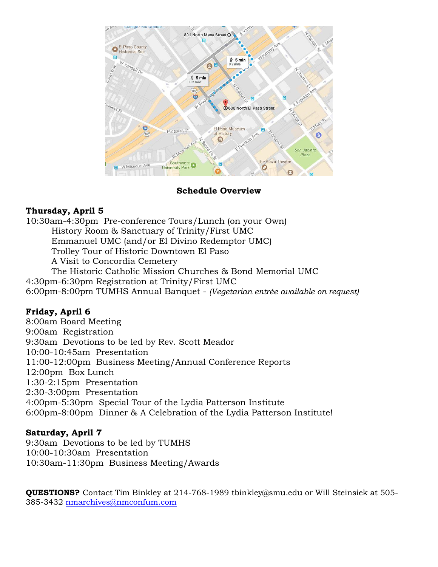

**Schedule Overview**

## **Thursday, April 5**

10:30am-4:30pm Pre-conference Tours/Lunch (on your Own) History Room & Sanctuary of Trinity/First UMC Emmanuel UMC (and/or El Divino Redemptor UMC) Trolley Tour of Historic Downtown El Paso A Visit to Concordia Cemetery The Historic Catholic Mission Churches & Bond Memorial UMC 4:30pm-6:30pm Registration at Trinity/First UMC

6:00pm-8:00pm TUMHS Annual Banquet - *(Vegetarian entrée available on request)* 

## **Friday, April 6**

8:00am Board Meeting 9:00am Registration 9:30am Devotions to be led by Rev. Scott Meador 10:00-10:45am Presentation 11:00-12:00pm Business Meeting/Annual Conference Reports 12:00pm Box Lunch 1:30-2:15pm Presentation 2:30-3:00pm Presentation 4:00pm-5:30pm Special Tour of the Lydia Patterson Institute 6:00pm-8:00pm Dinner & A Celebration of the Lydia Patterson Institute!

## **Saturday, April 7**

9:30am Devotions to be led by TUMHS 10:00-10:30am Presentation 10:30am-11:30pm Business Meeting/Awards

**QUESTIONS?** Contact Tim Binkley at 214-768-1989 tbinkley@smu.edu or Will Steinsiek at 505- 385-3432 [nmarchives@nmconfum.com](mailto:nmarchives@nmconfum.com)